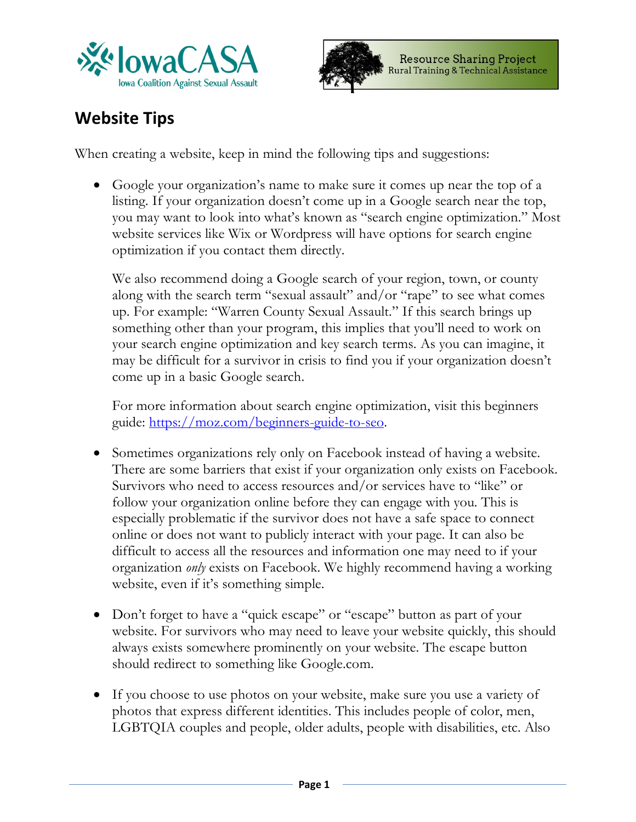



## **Website Tips**

When creating a website, keep in mind the following tips and suggestions:

• Google your organization's name to make sure it comes up near the top of a listing. If your organization doesn't come up in a Google search near the top, you may want to look into what's known as "search engine optimization." Most website services like Wix or Wordpress will have options for search engine optimization if you contact them directly.

We also recommend doing a Google search of your region, town, or county along with the search term "sexual assault" and/or "rape" to see what comes up. For example: "Warren County Sexual Assault." If this search brings up something other than your program, this implies that you'll need to work on your search engine optimization and key search terms. As you can imagine, it may be difficult for a survivor in crisis to find you if your organization doesn't come up in a basic Google search.

For more information about search engine optimization, visit this beginners guide: https://moz.com/beginners-guide-to-seo.

- Sometimes organizations rely only on Facebook instead of having a website. There are some barriers that exist if your organization only exists on Facebook. Survivors who need to access resources and/or services have to "like" or follow your organization online before they can engage with you. This is especially problematic if the survivor does not have a safe space to connect online or does not want to publicly interact with your page. It can also be difficult to access all the resources and information one may need to if your organization *only* exists on Facebook. We highly recommend having a working website, even if it's something simple.
- Don't forget to have a "quick escape" or "escape" button as part of your website. For survivors who may need to leave your website quickly, this should always exists somewhere prominently on your website. The escape button should redirect to something like Google.com.
- If you choose to use photos on your website, make sure you use a variety of photos that express different identities. This includes people of color, men, LGBTQIA couples and people, older adults, people with disabilities, etc. Also